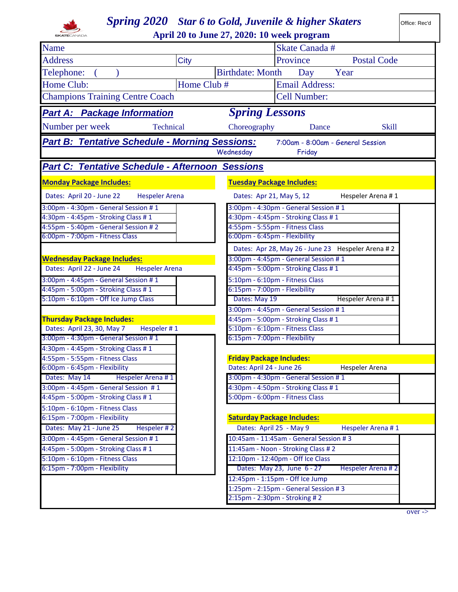| <b>Spring 2020</b> Star 6 to Gold, Juvenile & higher Skaters                |                       |                                                                                    |  |  |  |  |  |  |
|-----------------------------------------------------------------------------|-----------------------|------------------------------------------------------------------------------------|--|--|--|--|--|--|
|                                                                             |                       | April 20 to June 27, 2020: 10 week program                                         |  |  |  |  |  |  |
| Name                                                                        |                       | <b>Skate Canada#</b>                                                               |  |  |  |  |  |  |
| <b>Address</b>                                                              | <b>City</b>           | <b>Postal Code</b><br>Province                                                     |  |  |  |  |  |  |
| Telephone:                                                                  |                       | <b>Birthdate: Month</b><br>Year<br>Day                                             |  |  |  |  |  |  |
| Home Club:                                                                  | Home Club #           | <b>Email Address:</b>                                                              |  |  |  |  |  |  |
| <b>Champions Training Centre Coach</b>                                      |                       | <b>Cell Number:</b>                                                                |  |  |  |  |  |  |
|                                                                             |                       |                                                                                    |  |  |  |  |  |  |
| <b>Spring Lessons</b><br><b>Part A: Package Information</b>                 |                       |                                                                                    |  |  |  |  |  |  |
| Number per week                                                             | Technical             | Choreography<br><b>Skill</b><br>Dance                                              |  |  |  |  |  |  |
| <b>Part B: Tentative Schedule - Morning Sessions:</b>                       |                       | 7:00am - 8:00am - General Session                                                  |  |  |  |  |  |  |
|                                                                             |                       | Wednesday<br>Friday                                                                |  |  |  |  |  |  |
| <b>Part C: Tentative Schedule - Afternoon Sessions</b>                      |                       |                                                                                    |  |  |  |  |  |  |
| <b>Monday Package Includes:</b>                                             |                       | <b>Tuesday Package Includes:</b>                                                   |  |  |  |  |  |  |
| Dates: April 20 - June 22                                                   | <b>Hespeler Arena</b> | Dates: Apr 21, May 5, 12<br>Hespeler Arena #1                                      |  |  |  |  |  |  |
| 3:00pm - 4:30pm - General Session #1                                        |                       | 3:00pm - 4:30pm - General Session #1                                               |  |  |  |  |  |  |
| 4:30pm - 4:45pm - Stroking Class #1                                         |                       | 4:30pm - 4:45pm - Stroking Class #1                                                |  |  |  |  |  |  |
| 4:55pm - 5:40pm - General Session #2                                        |                       | 4:55pm - 5:55pm - Fitness Class                                                    |  |  |  |  |  |  |
| 6:00pm - 7:00pm - Fitness Class                                             |                       | 6:00pm - 6:45pm - Flexibility                                                      |  |  |  |  |  |  |
|                                                                             |                       | Dates: Apr 28, May 26 - June 23 Hespeler Arena # 2                                 |  |  |  |  |  |  |
| <b>Wednesday Package Includes:</b>                                          |                       | 3:00pm - 4:45pm - General Session #1                                               |  |  |  |  |  |  |
| Dates: April 22 - June 24                                                   | <b>Hespeler Arena</b> | 4:45pm - 5:00pm - Stroking Class #1                                                |  |  |  |  |  |  |
| 3:00pm - 4:45pm - General Session #1                                        |                       | 5:10pm - 6:10pm - Fitness Class                                                    |  |  |  |  |  |  |
| 4:45pm - 5:00pm - Stroking Class #1                                         |                       | 6:15pm - 7:00pm - Flexibility                                                      |  |  |  |  |  |  |
| 5:10pm - 6:10pm - Off Ice Jump Class                                        |                       | Dates: May 19<br>Hespeler Arena #1                                                 |  |  |  |  |  |  |
|                                                                             |                       | 3:00pm - 4:45pm - General Session #1                                               |  |  |  |  |  |  |
| <b>Thursday Package Includes:</b>                                           |                       | 4:45pm - 5:00pm - Stroking Class #1                                                |  |  |  |  |  |  |
| Dates: April 23, 30, May 7                                                  | Hespeler #1           | 5:10pm - 6:10pm - Fitness Class                                                    |  |  |  |  |  |  |
| 3:00pm - 4:30pm - General Session #1                                        |                       | 6:15pm - 7:00pm - Flexibility                                                      |  |  |  |  |  |  |
| 4:30pm - 4:45pm - Stroking Class #1                                         |                       |                                                                                    |  |  |  |  |  |  |
| 4:55pm - 5:55pm - Fitness Class                                             |                       | <b>Friday Package Includes:</b>                                                    |  |  |  |  |  |  |
| 6:00pm - 6:45pm - Flexibility                                               |                       | Dates: April 24 - June 26<br><b>Hespeler Arena</b>                                 |  |  |  |  |  |  |
| Dates: May 14<br>Hespeler Arena #1                                          |                       | 3:00pm - 4:30pm - General Session #1                                               |  |  |  |  |  |  |
| 3:00pm - 4:45pm - General Session #1<br>4:45pm - 5:00pm - Stroking Class #1 |                       | 4:30pm - 4:50pm - Stroking Class #1<br>5:00pm - 6:00pm - Fitness Class             |  |  |  |  |  |  |
|                                                                             |                       |                                                                                    |  |  |  |  |  |  |
| 5:10pm - 6:10pm - Fitness Class                                             |                       | <b>Saturday Package Includes:</b>                                                  |  |  |  |  |  |  |
| 6:15pm - 7:00pm - Flexibility                                               |                       |                                                                                    |  |  |  |  |  |  |
| Dates: May 21 - June 25                                                     | Hespeler #2           | Dates: April 25 - May 9<br>Hespeler Arena #1                                       |  |  |  |  |  |  |
| 3:00pm - 4:45pm - General Session #1                                        |                       | 10:45am - 11:45am - General Session # 3                                            |  |  |  |  |  |  |
| 4:45pm - 5:00pm - Stroking Class #1                                         |                       | 11:45am - Noon - Stroking Class #2                                                 |  |  |  |  |  |  |
| 5:10pm - 6:10pm - Fitness Class<br>6:15pm - 7:00pm - Flexibility            |                       | 12:10pm - 12:40pm - Off Ice Class                                                  |  |  |  |  |  |  |
|                                                                             |                       | Dates: May 23, June 6 - 27<br>Hespeler Arena #2<br>12:45pm - 1:15pm - Off Ice Jump |  |  |  |  |  |  |
|                                                                             |                       | 1:25pm - 2:15pm - General Session #3                                               |  |  |  |  |  |  |
|                                                                             |                       | 2:15pm - 2:30pm - Stroking # 2                                                     |  |  |  |  |  |  |
|                                                                             |                       |                                                                                    |  |  |  |  |  |  |